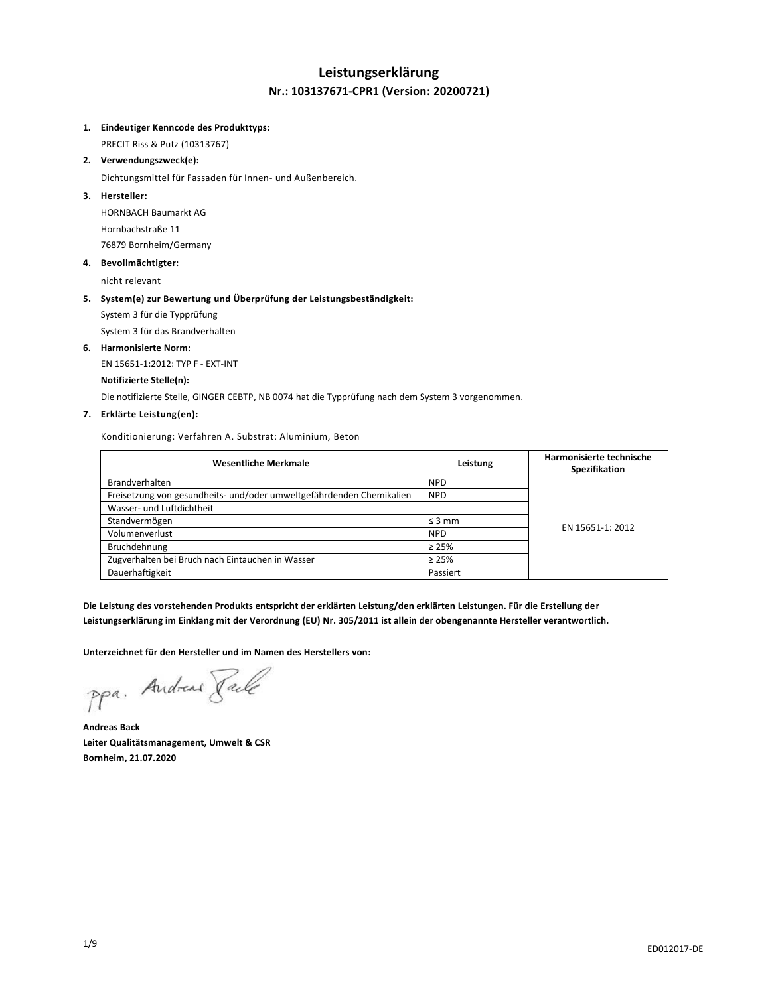# **Leistungserklärung Nr.: 103137671-CPR1 (Version: 20200721)**

#### **1. Eindeutiger Kenncode des Produkttyps:**

PRECIT Riss & Putz (10313767)

**2. Verwendungszweck(e):**

Dichtungsmittel für Fassaden für Innen- und Außenbereich.

### **3. Hersteller:**

HORNBACH Baumarkt AG Hornbachstraße 11 76879 Bornheim/Germany

#### **4. Bevollmächtigter:**

nicht relevant

### **5. System(e) zur Bewertung und Überprüfung der Leistungsbeständigkeit:**

System 3 für die Typprüfung

System 3 für das Brandverhalten

### **6. Harmonisierte Norm:**

EN 15651-1:2012: TYP F - EXT-INT

### **Notifizierte Stelle(n):**

Die notifizierte Stelle, GINGER CEBTP, NB 0074 hat die Typprüfung nach dem System 3 vorgenommen.

### **7. Erklärte Leistung(en):**

Konditionierung: Verfahren A. Substrat: Aluminium, Beton

| <b>Wesentliche Merkmale</b>                                          | Leistung    | Harmonisierte technische<br>Spezifikation |
|----------------------------------------------------------------------|-------------|-------------------------------------------|
| <b>Brandverhalten</b>                                                | <b>NPD</b>  |                                           |
| Freisetzung von gesundheits- und/oder umweltgefährdenden Chemikalien | <b>NPD</b>  |                                           |
| Wasser- und Luftdichtheit                                            |             |                                           |
| Standvermögen                                                        | $\leq$ 3 mm | EN 15651-1: 2012                          |
| Volumenverlust                                                       | <b>NPD</b>  |                                           |
| Bruchdehnung                                                         | $\geq 25\%$ |                                           |
| Zugverhalten bei Bruch nach Eintauchen in Wasser                     | $\geq 25\%$ |                                           |
| Dauerhaftigkeit                                                      | Passiert    |                                           |

**Die Leistung des vorstehenden Produkts entspricht der erklärten Leistung/den erklärten Leistungen. Für die Erstellung der Leistungserklärung im Einklang mit der Verordnung (EU) Nr. 305/2011 ist allein der obengenannte Hersteller verantwortlich.**

**Unterzeichnet für den Hersteller und im Namen des Herstellers von:**

ppa. Andreas Pale

**Andreas Back Leiter Qualitätsmanagement, Umwelt & CSR Bornheim, 21.07.2020**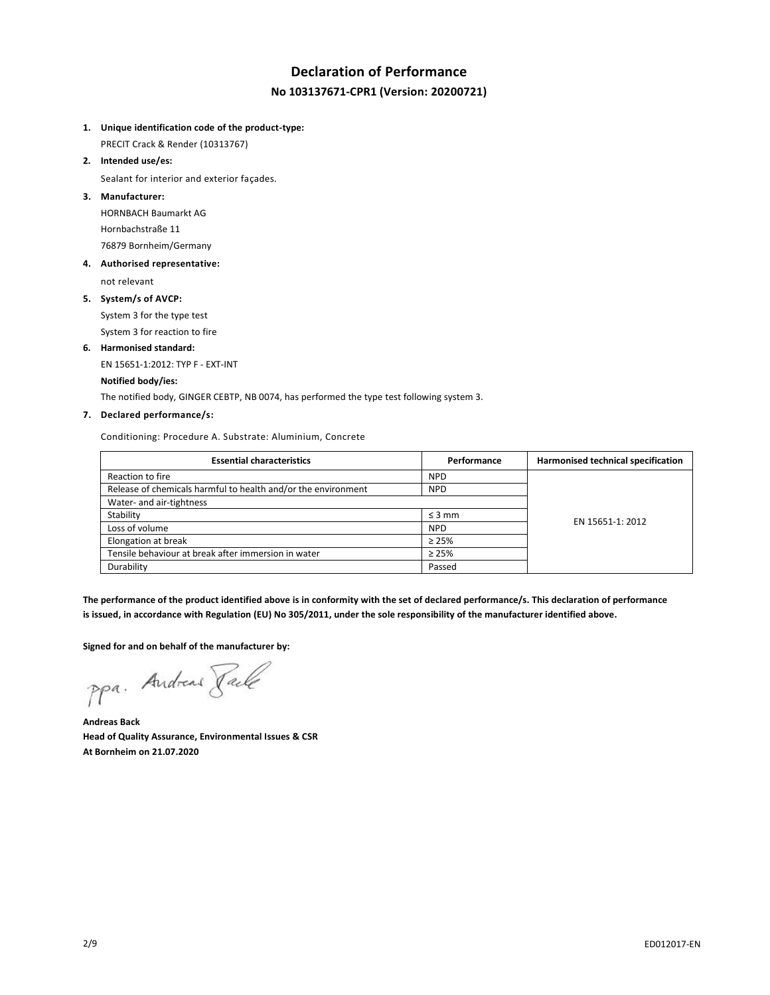# **Declaration of Performance No 103137671-CPR1 (Version: 20200721)**

# **1. Unique identification code of the product-type:**

PRECIT Crack & Render (10313767)

**2. Intended use/es:**

Sealant for interior and exterior façades.

**3. Manufacturer:**

HORNBACH Baumarkt AG Hornbachstraße 11 76879 Bornheim/Germany

**4. Authorised representative:**

not relevant

**5. System/s of AVCP:**

System 3 for the type test System 3 for reaction to fire

**6. Harmonised standard:** EN 15651-1:2012: TYP F - EXT-INT

# **Notified body/ies:**

The notified body, GINGER CEBTP, NB 0074, has performed the type test following system 3.

# **7. Declared performance/s:**

Conditioning: Procedure A. Substrate: Aluminium, Concrete

| <b>Essential characteristics</b>                              | Performance | Harmonised technical specification |
|---------------------------------------------------------------|-------------|------------------------------------|
| Reaction to fire                                              | <b>NPD</b>  |                                    |
| Release of chemicals harmful to health and/or the environment | <b>NPD</b>  |                                    |
| Water- and air-tightness                                      |             |                                    |
| Stability                                                     | $\leq$ 3 mm | EN 15651-1: 2012                   |
| Loss of volume                                                | <b>NPD</b>  |                                    |
| Elongation at break                                           | $\geq 25\%$ |                                    |
| Tensile behaviour at break after immersion in water           | $\geq 25\%$ |                                    |
| Durability                                                    | Passed      |                                    |

**The performance of the product identified above is in conformity with the set of declared performance/s. This declaration of performance is issued, in accordance with Regulation (EU) No 305/2011, under the sole responsibility of the manufacturer identified above.**

**Signed for and on behalf of the manufacturer by:**

ppa. Andreas Pale

**Andreas Back Head of Quality Assurance, Environmental Issues & CSR At Bornheim on 21.07.2020**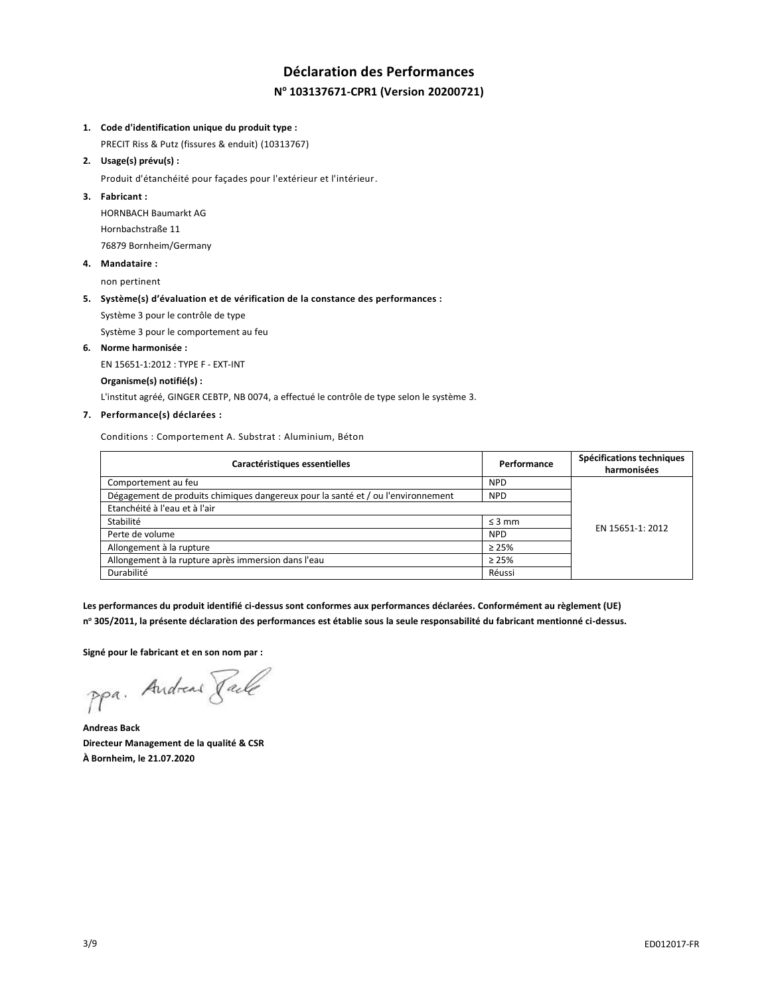# **Déclaration des Performances N <sup>o</sup> 103137671-CPR1 (Version 20200721)**

#### **1. Code d'identification unique du produit type :**

PRECIT Riss & Putz (fissures & enduit) (10313767)

#### **2. Usage(s) prévu(s) :**

Produit d'étanchéité pour façades pour l'extérieur et l'intérieur.

### **3. Fabricant :**

HORNBACH Baumarkt AG Hornbachstraße 11 76879 Bornheim/Germany

### **4. Mandataire :**

non pertinent

### **5. Système(s) d'évaluation et de vérification de la constance des performances :**

Système 3 pour le contrôle de type

Système 3 pour le comportement au feu

#### **6. Norme harmonisée :**

EN 15651-1:2012 : TYPE F - EXT-INT

### **Organisme(s) notifié(s) :**

L'institut agréé, GINGER CEBTP, NB 0074, a effectué le contrôle de type selon le système 3.

# **7. Performance(s) déclarées :**

Conditions : Comportement A. Substrat : Aluminium, Béton

| Caractéristiques essentielles                                                    | Performance | Spécifications techniques<br>harmonisées |
|----------------------------------------------------------------------------------|-------------|------------------------------------------|
| Comportement au feu                                                              | <b>NPD</b>  |                                          |
| Dégagement de produits chimiques dangereux pour la santé et / ou l'environnement | <b>NPD</b>  |                                          |
| Etanchéité à l'eau et à l'air                                                    |             |                                          |
| Stabilité                                                                        | $\leq$ 3 mm | EN 15651-1: 2012                         |
| Perte de volume                                                                  | <b>NPD</b>  |                                          |
| Allongement à la rupture                                                         | $\geq 25\%$ |                                          |
| Allongement à la rupture après immersion dans l'eau                              | $\geq 25\%$ |                                          |
| Durabilité                                                                       | Réussi      |                                          |

**Les performances du produit identifié ci-dessus sont conformes aux performances déclarées. Conformément au règlement (UE) n <sup>o</sup> 305/2011, la présente déclaration des performances est établie sous la seule responsabilité du fabricant mentionné ci-dessus.**

**Signé pour le fabricant et en son nom par :**

ppa. Andreas Pale

**Andreas Back Directeur Management de la qualité & CSR À Bornheim, le 21.07.2020**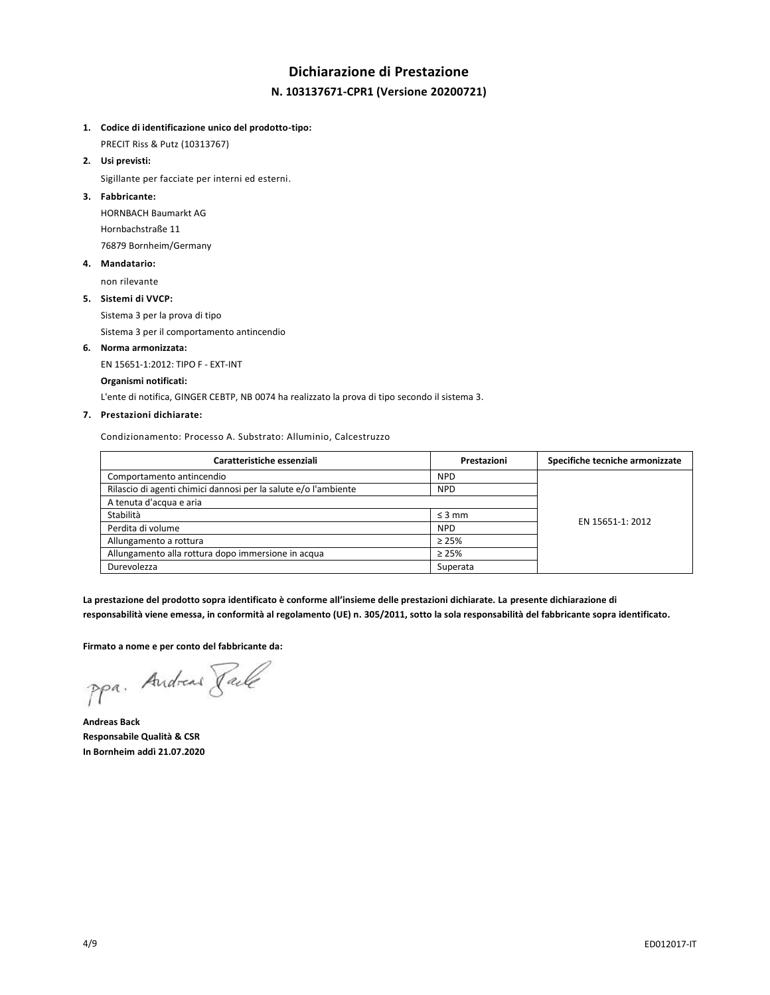# **Dichiarazione di Prestazione N. 103137671-CPR1 (Versione 20200721)**

### **1. Codice di identificazione unico del prodotto-tipo:**

PRECIT Riss & Putz (10313767)

**2. Usi previsti:**

Sigillante per facciate per interni ed esterni.

#### **3. Fabbricante:**

HORNBACH Baumarkt AG Hornbachstraße 11 76879 Bornheim/Germany

#### **4. Mandatario:**

non rilevante

### **5. Sistemi di VVCP:**

Sistema 3 per la prova di tipo

Sistema 3 per il comportamento antincendio

# **6. Norma armonizzata:**

EN 15651-1:2012: TIPO F - EXT-INT

#### **Organismi notificati:**

L'ente di notifica, GINGER CEBTP, NB 0074 ha realizzato la prova di tipo secondo il sistema 3.

### **7. Prestazioni dichiarate:**

Condizionamento: Processo A. Substrato: Alluminio, Calcestruzzo

| Caratteristiche essenziali                                      | Prestazioni | Specifiche tecniche armonizzate |
|-----------------------------------------------------------------|-------------|---------------------------------|
| Comportamento antincendio                                       | <b>NPD</b>  |                                 |
| Rilascio di agenti chimici dannosi per la salute e/o l'ambiente | <b>NPD</b>  |                                 |
| A tenuta d'acqua e aria                                         |             |                                 |
| Stabilità                                                       | $\leq$ 3 mm | EN 15651-1: 2012                |
| Perdita di volume                                               | <b>NPD</b>  |                                 |
| Allungamento a rottura                                          | $\geq 25\%$ |                                 |
| Allungamento alla rottura dopo immersione in acqua              | $\geq 25\%$ |                                 |
| Durevolezza                                                     | Superata    |                                 |

**La prestazione del prodotto sopra identificato è conforme all'insieme delle prestazioni dichiarate. La presente dichiarazione di responsabilità viene emessa, in conformità al regolamento (UE) n. 305/2011, sotto la sola responsabilità del fabbricante sopra identificato.**

#### **Firmato a nome e per conto del fabbricante da:**

ppa. Andreas Faile

**Andreas Back Responsabile Qualità & CSR In Bornheim addì 21.07.2020**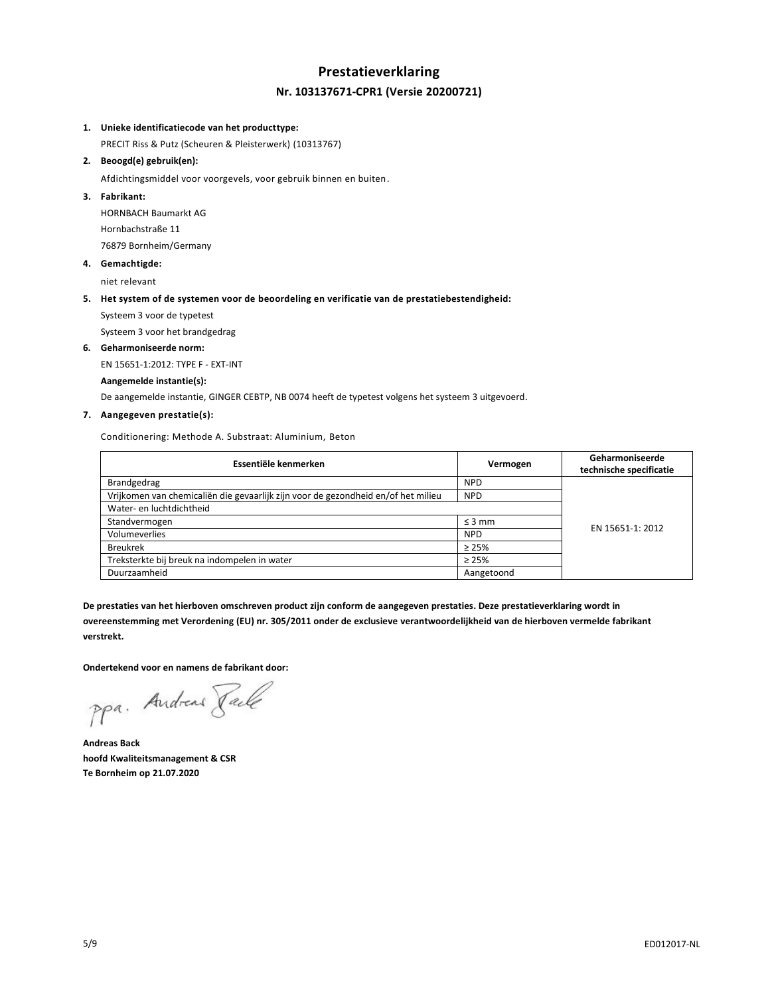# **Prestatieverklaring Nr. 103137671-CPR1 (Versie 20200721)**

#### **1. Unieke identificatiecode van het producttype:**

PRECIT Riss & Putz (Scheuren & Pleisterwerk) (10313767)

#### **2. Beoogd(e) gebruik(en):**

Afdichtingsmiddel voor voorgevels, voor gebruik binnen en buiten.

#### **3. Fabrikant:**

HORNBACH Baumarkt AG Hornbachstraße 11 76879 Bornheim/Germany

**4. Gemachtigde:**

niet relevant

#### **5. Het system of de systemen voor de beoordeling en verificatie van de prestatiebestendigheid:**

Systeem 3 voor de typetest

Systeem 3 voor het brandgedrag

#### **6. Geharmoniseerde norm:**

EN 15651-1:2012: TYPE F - EXT-INT

#### **Aangemelde instantie(s):**

De aangemelde instantie, GINGER CEBTP, NB 0074 heeft de typetest volgens het systeem 3 uitgevoerd.

#### **7. Aangegeven prestatie(s):**

Conditionering: Methode A. Substraat: Aluminium, Beton

| Essentiële kenmerken                                                              | Vermogen    | Geharmoniseerde<br>technische specificatie |
|-----------------------------------------------------------------------------------|-------------|--------------------------------------------|
| Brandgedrag                                                                       | <b>NPD</b>  |                                            |
| Vrijkomen van chemicaliën die gevaarlijk zijn voor de gezondheid en/of het milieu | <b>NPD</b>  |                                            |
| Water- en luchtdichtheid                                                          |             |                                            |
| Standvermogen                                                                     | $\leq$ 3 mm | EN 15651-1: 2012                           |
| Volumeverlies                                                                     | <b>NPD</b>  |                                            |
| <b>Breukrek</b>                                                                   | $\geq 25\%$ |                                            |
| Treksterkte bij breuk na indompelen in water                                      | $\geq 25\%$ |                                            |
| Duurzaamheid                                                                      | Aangetoond  |                                            |

**De prestaties van het hierboven omschreven product zijn conform de aangegeven prestaties. Deze prestatieverklaring wordt in overeenstemming met Verordening (EU) nr. 305/2011 onder de exclusieve verantwoordelijkheid van de hierboven vermelde fabrikant verstrekt.**

**Ondertekend voor en namens de fabrikant door:**

ppa. Andreas Faile

**Andreas Back hoofd Kwaliteitsmanagement & CSR Te Bornheim op 21.07.2020**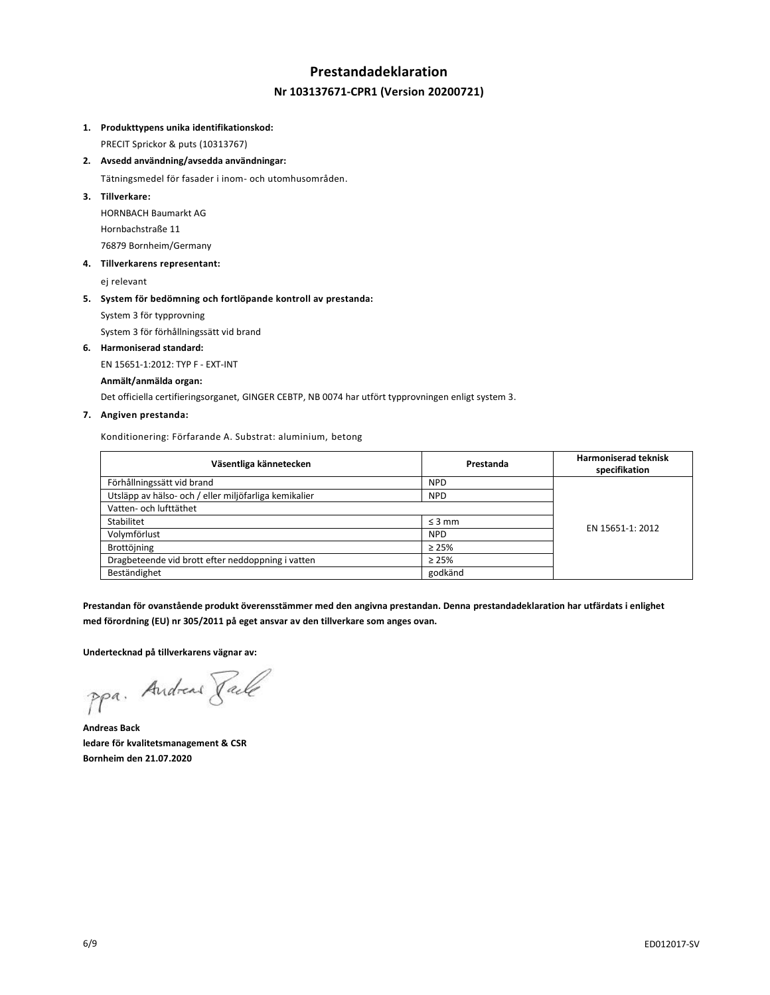# **Prestandadeklaration Nr 103137671-CPR1 (Version 20200721)**

#### **1. Produkttypens unika identifikationskod:**

PRECIT Sprickor & puts (10313767)

**2. Avsedd användning/avsedda användningar:**

Tätningsmedel för fasader i inom- och utomhusområden.

**3. Tillverkare:**

HORNBACH Baumarkt AG Hornbachstraße 11 76879 Bornheim/Germany

**4. Tillverkarens representant:**

ej relevant

#### **5. System för bedömning och fortlöpande kontroll av prestanda:**

System 3 för typprovning

System 3 för förhållningssätt vid brand

#### **6. Harmoniserad standard:**

EN 15651-1:2012: TYP F - EXT-INT

#### **Anmält/anmälda organ:**

Det officiella certifieringsorganet, GINGER CEBTP, NB 0074 har utfört typprovningen enligt system 3.

#### **7. Angiven prestanda:**

Konditionering: Förfarande A. Substrat: aluminium, betong

| Väsentliga kännetecken                                | Prestanda   | <b>Harmoniserad teknisk</b><br>specifikation |
|-------------------------------------------------------|-------------|----------------------------------------------|
| Förhållningssätt vid brand                            | <b>NPD</b>  |                                              |
| Utsläpp av hälso- och / eller miljöfarliga kemikalier | <b>NPD</b>  |                                              |
| Vatten- och lufttäthet                                |             |                                              |
| Stabilitet                                            | $\leq$ 3 mm | EN 15651-1: 2012                             |
| Volymförlust                                          | <b>NPD</b>  |                                              |
| Brottöjning                                           | $\geq 25\%$ |                                              |
| Dragbeteende vid brott efter neddoppning i vatten     | $\geq 25\%$ |                                              |
| Beständighet                                          | godkänd     |                                              |

**Prestandan för ovanstående produkt överensstämmer med den angivna prestandan. Denna prestandadeklaration har utfärdats i enlighet med förordning (EU) nr 305/2011 på eget ansvar av den tillverkare som anges ovan.**

**Undertecknad på tillverkarens vägnar av:**

ppa. Andreas Pale

**Andreas Back ledare för kvalitetsmanagement & CSR Bornheim den 21.07.2020**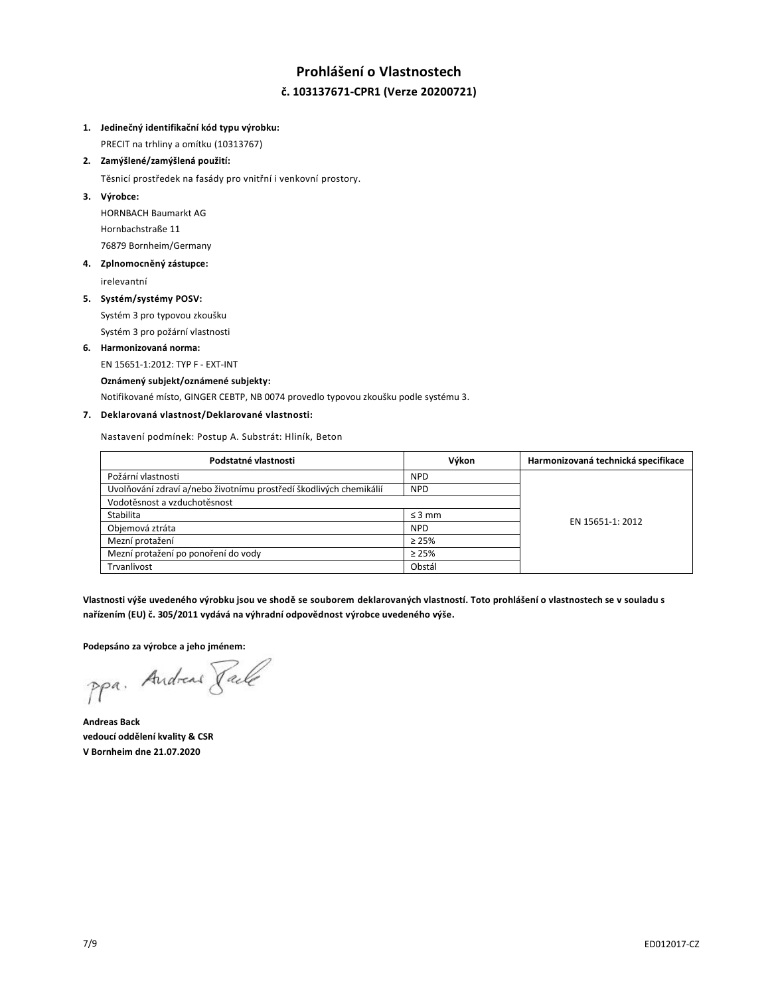# **Prohlášení o Vlastnostech č. 103137671-CPR1 (Verze 20200721)**

### **1. Jedinečný identifikační kód typu výrobku:**

PRECIT na trhliny a omítku (10313767)

# **2. Zamýšlené/zamýšlená použití:**

Těsnicí prostředek na fasády pro vnitřní i venkovní prostory.

# **3. Výrobce:**

HORNBACH Baumarkt AG Hornbachstraße 11 76879 Bornheim/Germany

# **4. Zplnomocněný zástupce:**

irelevantní

### **5. Systém/systémy POSV:**

Systém 3 pro typovou zkoušku Systém 3 pro požární vlastnosti

### **6. Harmonizovaná norma:**

EN 15651-1:2012: TYP F - EXT-INT

### **Oznámený subjekt/oznámené subjekty:**

Notifikované místo, GINGER CEBTP, NB 0074 provedlo typovou zkoušku podle systému 3.

# **7. Deklarovaná vlastnost/Deklarované vlastnosti:**

Nastavení podmínek: Postup A. Substrát: Hliník, Beton

| Podstatné vlastnosti                                               | Výkon       | Harmonizovaná technická specifikace |
|--------------------------------------------------------------------|-------------|-------------------------------------|
| Požární vlastnosti                                                 | <b>NPD</b>  |                                     |
| Uvolňování zdraví a/nebo životnímu prostředí škodlivých chemikálií | <b>NPD</b>  |                                     |
| Vodotěsnost a vzduchotěsnost                                       |             |                                     |
| Stabilita                                                          | $\leq$ 3 mm | EN 15651-1: 2012                    |
| Objemová ztráta                                                    | <b>NPD</b>  |                                     |
| Mezní protažení                                                    | $\geq 25\%$ |                                     |
| Mezní protažení po ponoření do vody                                | $\geq 25\%$ |                                     |
| Trvanlivost                                                        | Obstál      |                                     |

**Vlastnosti výše uvedeného výrobku jsou ve shodě se souborem deklarovaných vlastností. Toto prohlášení o vlastnostech se v souladu s nařízením (EU) č. 305/2011 vydává na výhradní odpovědnost výrobce uvedeného výše.**

**Podepsáno za výrobce a jeho jménem:**

ppa. Andreas Pale

**Andreas Back vedoucí oddělení kvality & CSR V Bornheim dne 21.07.2020**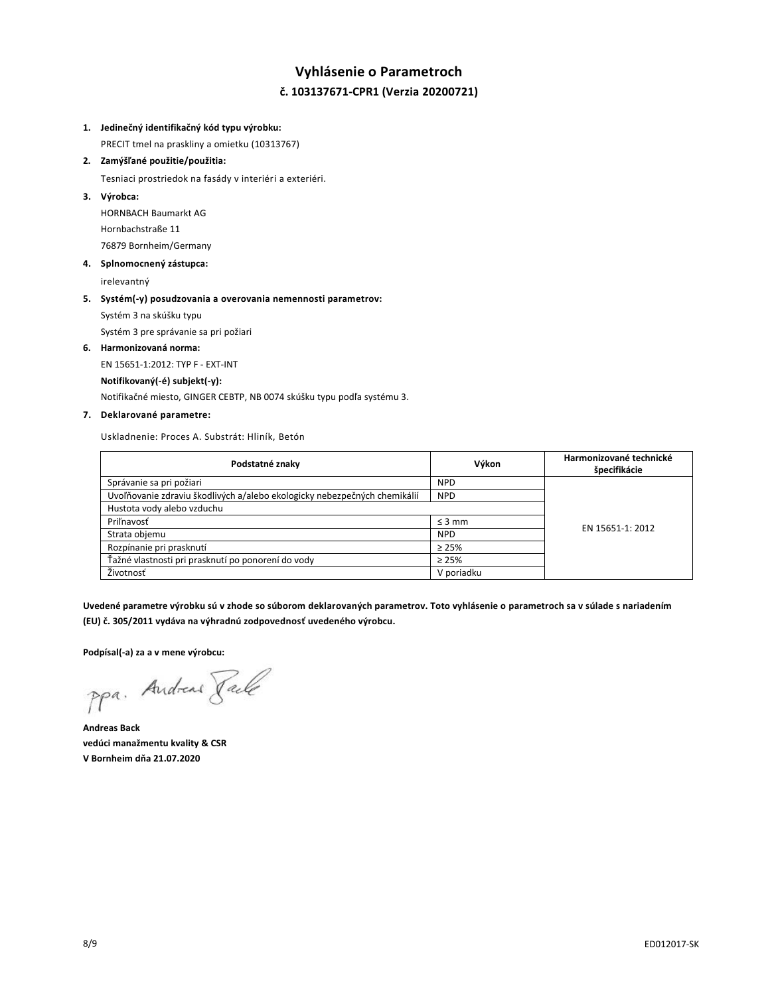# **Vyhlásenie o Parametroch č. 103137671-CPR1 (Verzia 20200721)**

#### **1. Jedinečný identifikačný kód typu výrobku:**

PRECIT tmel na praskliny a omietku (10313767)

# **2. Zamýšľané použitie/použitia:**

Tesniaci prostriedok na fasády v interiéri a exteriéri.

#### **3. Výrobca:**

HORNBACH Baumarkt AG Hornbachstraße 11 76879 Bornheim/Germany

### **4. Splnomocnený zástupca:**

irelevantný

# **5. Systém(-y) posudzovania a overovania nemennosti parametrov:** Systém 3 na skúšku typu

Systém 3 pre správanie sa pri požiari

#### **6. Harmonizovaná norma:**

EN 15651-1:2012: TYP F - EXT-INT

#### **Notifikovaný(-é) subjekt(-y):**

Notifikačné miesto, GINGER CEBTP, NB 0074 skúšku typu podľa systému 3.

### **7. Deklarované parametre:**

Uskladnenie: Proces A. Substrát: Hliník, Betón

| Podstatné znaky                                                           | Výkon       | Harmonizované technické<br>špecifikácie |
|---------------------------------------------------------------------------|-------------|-----------------------------------------|
| Správanie sa pri požiari                                                  | <b>NPD</b>  |                                         |
| Uvoľňovanie zdraviu škodlivých a/alebo ekologicky nebezpečných chemikálií | <b>NPD</b>  |                                         |
| Hustota vody alebo vzduchu                                                |             |                                         |
| Priľnavosť                                                                | $\leq$ 3 mm | EN 15651-1: 2012                        |
| Strata objemu                                                             | <b>NPD</b>  |                                         |
| Rozpínanie pri prasknutí                                                  | $\geq 25\%$ |                                         |
| Ťažné vlastnosti pri prasknutí po ponorení do vody                        | $\geq 25\%$ |                                         |
| Životnosť                                                                 | V poriadku  |                                         |

**Uvedené parametre výrobku sú v zhode so súborom deklarovaných parametrov. Toto vyhlásenie o parametroch sa v súlade s nariadením (EU) č. 305/2011 vydáva na výhradnú zodpovednosť uvedeného výrobcu.**

**Podpísal(-a) za a v mene výrobcu:**

ppa. Andreas Face

**Andreas Back vedúci manažmentu kvality & CSR V Bornheim dňa 21.07.2020**